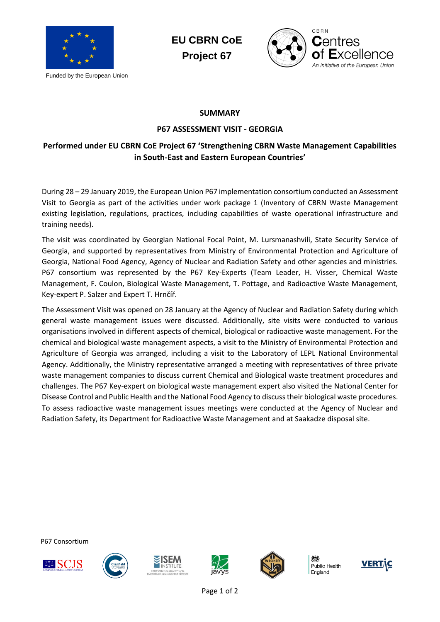

Funded by the European Union





### **SUMMARY**

#### **P67 ASSESSMENT VISIT - GEORGIA**

## **Performed under EU CBRN CoE Project 67 'Strengthening CBRN Waste Management Capabilities in South-East and Eastern European Countries'**

During 28 – 29 January 2019, the European Union P67 implementation consortium conducted an Assessment Visit to Georgia as part of the activities under work package 1 (Inventory of CBRN Waste Management existing legislation, regulations, practices, including capabilities of waste operational infrastructure and training needs).

The visit was coordinated by Georgian National Focal Point, M. Lursmanashvili, State Security Service of Georgia, and supported by representatives from Ministry of Environmental Protection and Agriculture of Georgia, National Food Agency, Agency of Nuclear and Radiation Safety and other agencies and ministries. P67 consortium was represented by the P67 Key-Experts (Team Leader, H. Visser, Chemical Waste Management, F. Coulon, Biological Waste Management, T. Pottage, and Radioactive Waste Management, Key-expert P. Salzer and Expert T. Hrnčíř.

The Assessment Visit was opened on 28 January at the Agency of Nuclear and Radiation Safety during which general waste management issues were discussed. Additionally, site visits were conducted to various organisations involved in different aspects of chemical, biological or radioactive waste management. For the chemical and biological waste management aspects, a visit to the Ministry of Environmental Protection and Agriculture of Georgia was arranged, including a visit to the Laboratory of LEPL National Environmental Agency. Additionally, the Ministry representative arranged a meeting with representatives of three private waste management companies to discuss current Chemical and Biological waste treatment procedures and challenges. The P67 Key-expert on biological waste management expert also visited the National Center for Disease Control and Public Health and the National Food Agency to discuss their biological waste procedures. To assess radioactive waste management issues meetings were conducted at the Agency of Nuclear and Radiation Safety, its Department for Radioactive Waste Management and at Saakadze disposal site.

P67 Consortium











Public Health England